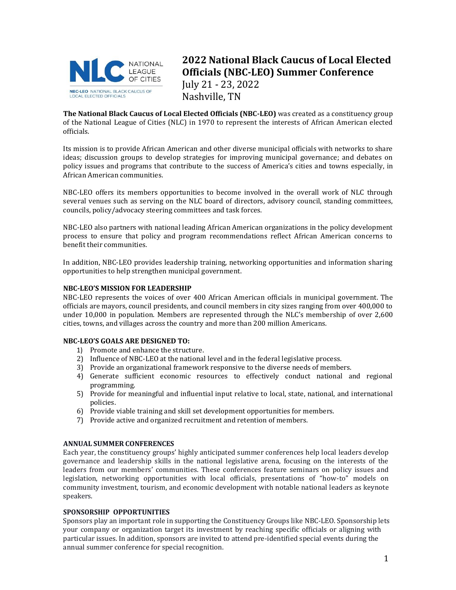

# **2022 National Black Caucus of Local Elected Officials (NBC-LEO) Summer Conference** July 21 - 23, 2022 Nashville, TN

**The National Black Caucus of Local Elected Officials (NBC-LEO)** was created as a constituency group of the National League of Cities (NLC) in 1970 to represent the interests of African American elected officials.

Its mission is to provide African American and other diverse municipal officials with networks to share ideas; discussion groups to develop strategies for improving municipal governance; and debates on policy issues and programs that contribute to the success of America's cities and towns especially, in African American communities.

NBC-LEO offers its members opportunities to become involved in the overall work of NLC through several venues such as serving on the NLC board of directors, advisory council, standing committees, councils, policy/advocacy steering committees and task forces.

NBC-LEO also partners with national leading African American organizations in the policy development process to ensure that policy and program recommendations reflect African American concerns to benefit their communities.

In addition, NBC-LEO provides leadership training, networking opportunities and information sharing opportunities to help strengthen municipal government.

# **NBC-LEO'S MISSION FOR LEADERSHIP**

NBC-LEO represents the voices of over 400 African American officials in municipal government. The officials are mayors, council presidents, and council members in city sizes ranging from over 400,000 to under 10,000 in population. Members are represented through the NLC's membership of over 2,600 cities, towns, and villages across the country and more than 200 million Americans.

#### **NBC-LEO'S GOALS ARE DESIGNED TO:**

- 1) Promote and enhance the structure.
- 2) Influence of NBC-LEO at the national level and in the federal legislative process.
- 3) Provide an organizational framework responsive to the diverse needs of members.
- 4) Generate sufficient economic resources to effectively conduct national and regional programming.
- 5) Provide for meaningful and influential input relative to local, state, national, and international policies.
- 6) Provide viable training and skill set development opportunities for members.
- 7) Provide active and organized recruitment and retention of members.

#### **ANNUAL SUMMER CONFERENCES**

Each year, the constituency groups' highly anticipated summer conferences help local leaders develop governance and leadership skills in the national legislative arena, focusing on the interests of the leaders from our members' communities. These conferences feature seminars on policy issues and legislation, networking opportunities with local officials, presentations of "how-to" models on community investment, tourism, and economic development with notable national leaders as keynote speakers.

# **SPONSORSHIP OPPORTUNITIES**

Sponsors play an important role in supporting the Constituency Groups like NBC-LEO. Sponsorship lets your company or organization target its investment by reaching specific officials or aligning with particular issues. In addition, sponsors are invited to attend pre-identified special events during the annual summer conference for special recognition.